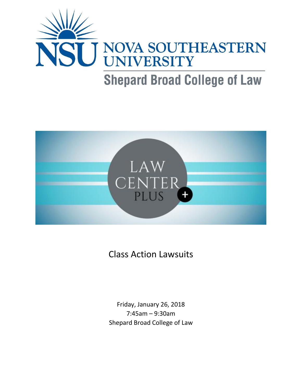



Class Action Lawsuits

Friday, January 26, 2018 7:45am – 9:30am Shepard Broad College of Law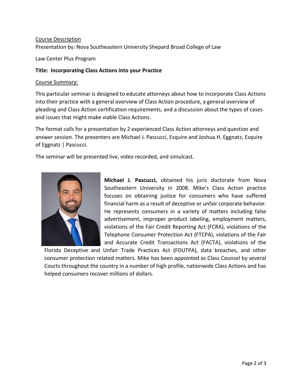## Course Description

Presentation by: Nova Southeastern University Shepard Broad College of Law

Law Center Plus Program

## **Title: Incorporating Class Actions into your Practice**

#### Course Summary:

This particular seminar is designed to educate attorneys about how to incorporate Class Actions into their practice with a general overview of Class Action procedure, a general overview of pleading and Class Action certification requirements, and a discussion about the types of cases and issues that might make viable Class Actions.

The format calls for a presentation by 2 experienced Class Action attorneys and question and answer session. The presenters are Michael J. Pascucci, Esquire and Joshua H. Eggnatz, Esquire of Eggnatz | Pascucci.

The seminar will be presented live, video recorded, and simulcast.



**Michael J. Pascucci,** obtained his juris doctorate from Nova Southeastern University in 2008. Mike's Class Action practice focuses on obtaining justice for consumers who have suffered financial harm as a result of deceptive or unfair corporate behavior. He represents consumers in a variety of matters including false advertisement, improper product labeling, employment matters, violations of the Fair Credit Reporting Act (FCRA), violations of the Telephone Consumer Protection Act (FTCPA), violations of the Fair and Accurate Credit Transactions Act (FACTA), violations of the

Florida Deceptive and Unfair Trade Practices Act (FDUTPA), data breaches, and other consumer protection related matters. Mike has been appointed as Class Counsel by several Courts throughout the country in a number of high profile, nationwide Class Actions and has helped consumers recover millions of dollars.